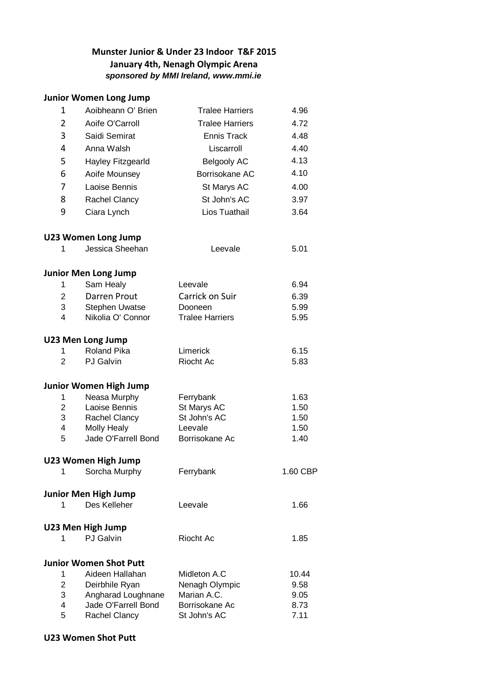## **Munster Junior & Under 23 Indoor T&F 2015 January 4th, Nenagh Olympic Arena** *sponsored by MMI Ireland, www.mmi.ie*

## **Junior Women Long Jump**

| 1              | Aoibheann O' Brien                        | <b>Tralee Harriers</b>    | 4.96         |
|----------------|-------------------------------------------|---------------------------|--------------|
| $\overline{2}$ | Aoife O'Carroll                           | <b>Tralee Harriers</b>    | 4.72         |
| 3              | Saidi Semirat                             | <b>Ennis Track</b>        | 4.48         |
| 4              | Anna Walsh                                | Liscarroll                | 4.40         |
|                |                                           |                           | 4.13         |
| 5              | Hayley Fitzgearld                         | <b>Belgooly AC</b>        |              |
| 6              | Aoife Mounsey                             | Borrisokane AC            | 4.10         |
| 7              | Laoise Bennis                             | St Marys AC               | 4.00         |
| 8              | Rachel Clancy                             | St John's AC              | 3.97         |
| 9              | Ciara Lynch                               | Lios Tuathail             | 3.64         |
|                | <b>U23 Women Long Jump</b>                |                           |              |
| 1              | Jessica Sheehan                           | Leevale                   | 5.01         |
|                | <b>Junior Men Long Jump</b>               |                           |              |
| 1              | Sam Healy                                 | Leevale                   | 6.94         |
| $\overline{c}$ | Darren Prout                              | Carrick on Suir           | 6.39         |
| 3              | <b>Stephen Uwatse</b>                     | Dooneen                   | 5.99         |
| 4              | Nikolia O' Connor                         | <b>Tralee Harriers</b>    | 5.95         |
|                | <b>U23 Men Long Jump</b>                  |                           |              |
| 1              | <b>Roland Pika</b>                        | Limerick                  | 6.15         |
| $\overline{2}$ | <b>PJ</b> Galvin                          | Riocht Ac                 | 5.83         |
|                | Junior Women High Jump                    |                           |              |
| 1              | Neasa Murphy                              | Ferrybank                 | 1.63         |
| $\overline{2}$ | Laoise Bennis                             | St Marys AC               | 1.50         |
| 3              | Rachel Clancy                             | St John's AC              | 1.50         |
| 4<br>5         | <b>Molly Healy</b><br>Jade O'Farrell Bond | Leevale<br>Borrisokane Ac | 1.50<br>1.40 |
|                |                                           |                           |              |
|                | <b>U23 Women High Jump</b>                |                           |              |
| 1.             | Sorcha Murphy                             | Ferrybank                 | 1.60 CBP     |
|                | <b>Junior Men High Jump</b>               |                           |              |
| 1              | Des Kelleher                              | Leevale                   | 1.66         |
|                | U23 Men High Jump                         |                           |              |
| 1              | <b>PJ</b> Galvin                          | Riocht Ac                 | 1.85         |
|                | <b>Junior Women Shot Putt</b>             |                           |              |
| 1              | Aideen Hallahan                           | Midleton A.C              | 10.44        |
| $\overline{2}$ | Deirbhile Ryan                            | Nenagh Olympic            | 9.58         |
| 3              | Angharad Loughnane                        | Marian A.C.               | 9.05         |
| 4              | Jade O'Farrell Bond                       | Borrisokane Ac            | 8.73         |
| 5              | Rachel Clancy                             | St John's AC              | 7.11         |

## **U23 Women Shot Putt**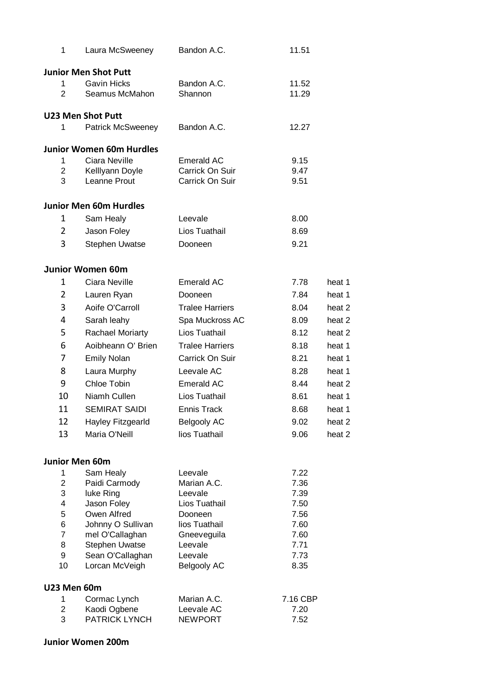| 1                  | Laura McSweeney                 | Bandon A.C.              | 11.51        |                   |
|--------------------|---------------------------------|--------------------------|--------------|-------------------|
|                    | <b>Junior Men Shot Putt</b>     |                          |              |                   |
| 1                  | <b>Gavin Hicks</b>              | Bandon A.C.              | 11.52        |                   |
| $\overline{2}$     | Seamus McMahon                  | Shannon                  | 11.29        |                   |
|                    | <b>U23 Men Shot Putt</b>        |                          |              |                   |
| 1                  | <b>Patrick McSweeney</b>        | Bandon A.C.              | 12.27        |                   |
|                    | <b>Junior Women 60m Hurdles</b> |                          |              |                   |
| 1                  | Ciara Neville                   | Emerald AC               | 9.15         |                   |
| $\overline{2}$     | Kelllyann Doyle                 | Carrick On Suir          | 9.47         |                   |
| 3                  | Leanne Prout                    | Carrick On Suir          | 9.51         |                   |
|                    | <b>Junior Men 60m Hurdles</b>   |                          |              |                   |
| 1                  | Sam Healy                       | Leevale                  | 8.00         |                   |
| $\overline{2}$     | Jason Foley                     | Lios Tuathail            | 8.69         |                   |
| 3                  | <b>Stephen Uwatse</b>           | Dooneen                  | 9.21         |                   |
|                    |                                 |                          |              |                   |
|                    | <b>Junior Women 60m</b>         |                          |              |                   |
| 1                  | Ciara Neville                   | Emerald AC               | 7.78         | heat 1            |
| 2                  | Lauren Ryan                     | Dooneen                  | 7.84         | heat 1            |
| 3                  | Aoife O'Carroll                 | <b>Tralee Harriers</b>   | 8.04         | heat 2            |
| 4                  | Sarah leahy                     | Spa Muckross AC          | 8.09         | heat <sub>2</sub> |
| 5                  | <b>Rachael Moriarty</b>         | Lios Tuathail            | 8.12         | heat 2            |
| 6                  | Aoibheann O' Brien              | <b>Tralee Harriers</b>   | 8.18         | heat 1            |
| 7                  | <b>Emily Nolan</b>              | Carrick On Suir          | 8.21         | heat 1            |
| 8                  | Laura Murphy                    | Leevale AC               | 8.28         | heat 1            |
| 9                  | Chloe Tobin                     | <b>Emerald AC</b>        | 8.44         | heat 2            |
| 10                 | Niamh Cullen                    | Lios Tuathail            | 8.61         | heat 1            |
| 11                 | <b>SEMIRAT SAIDI</b>            | <b>Ennis Track</b>       | 8.68         | heat 1            |
| 12                 | Hayley Fitzgearld               | <b>Belgooly AC</b>       | 9.02         | heat 2            |
| 13                 | Maria O'Neill                   | lios Tuathail            | 9.06         | heat 2            |
|                    |                                 |                          |              |                   |
|                    | Junior Men 60m                  |                          |              |                   |
| 1                  | Sam Healy                       | Leevale                  | 7.22         |                   |
| 2                  | Paidi Carmody                   | Marian A.C.              | 7.36         |                   |
| 3<br>4             | luke Ring<br>Jason Foley        | Leevale<br>Lios Tuathail | 7.39<br>7.50 |                   |
| 5                  | Owen Alfred                     | Dooneen                  | 7.56         |                   |
| 6                  | Johnny O Sullivan               | lios Tuathail            | 7.60         |                   |
| $\overline{7}$     | mel O'Callaghan                 | Gneeveguila              | 7.60         |                   |
| 8                  | <b>Stephen Uwatse</b>           | Leevale                  | 7.71         |                   |
| 9                  | Sean O'Callaghan                | Leevale                  | 7.73         |                   |
| 10                 | Lorcan McVeigh                  | <b>Belgooly AC</b>       | 8.35         |                   |
| <b>U23 Men 60m</b> |                                 |                          |              |                   |
| 1                  | Cormac Lynch                    | Marian A.C.              | 7.16 CBP     |                   |
| $\overline{2}$     | Kaodi Ogbene                    | Leevale AC               | 7.20         |                   |
| 3                  | <b>PATRICK LYNCH</b>            | <b>NEWPORT</b>           | 7.52         |                   |

## **Junior Women 200m**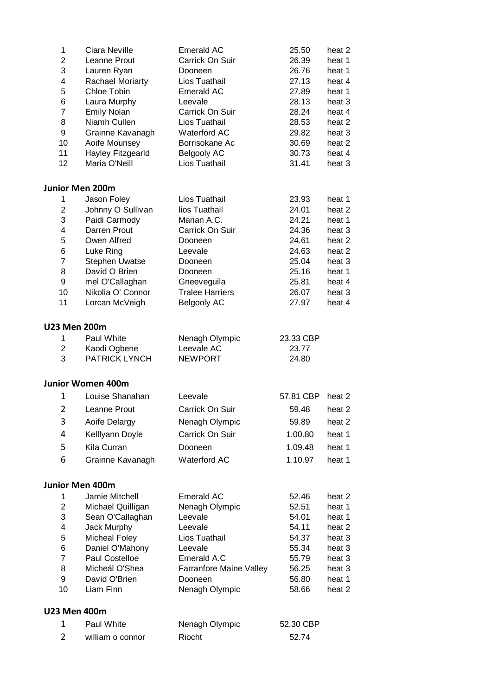| 1                   | Ciara Neville                       | <b>Emerald AC</b>                   | 25.50              | heat 2           |
|---------------------|-------------------------------------|-------------------------------------|--------------------|------------------|
| $\overline{2}$      | Leanne Prout                        | Carrick On Suir                     | 26.39              | heat 1           |
| 3                   | Lauren Ryan                         | Dooneen                             | 26.76              | heat 1           |
| 4                   | <b>Rachael Moriarty</b>             | Lios Tuathail                       | 27.13              | heat 4           |
| 5                   | Chloe Tobin                         | <b>Emerald AC</b>                   | 27.89              | heat 1           |
| 6                   | Laura Murphy                        | Leevale                             | 28.13              | heat 3           |
| 7                   | <b>Emily Nolan</b>                  | Carrick On Suir                     | 28.24              | heat 4           |
| 8                   | Niamh Cullen                        | Lios Tuathail                       | 28.53              | heat 2           |
| 9                   | Grainne Kavanagh                    | <b>Waterford AC</b>                 | 29.82              | heat 3           |
| 10                  | Aoife Mounsey                       | Borrisokane Ac                      | 30.69              | heat 2           |
| 11<br>12            | Hayley Fitzgearld<br>Maria O'Neill  | <b>Belgooly AC</b><br>Lios Tuathail | 30.73<br>31.41     | heat 4<br>heat 3 |
|                     | <b>Junior Men 200m</b>              |                                     |                    |                  |
| 1                   | Jason Foley                         | Lios Tuathail                       | 23.93              | heat 1           |
| $\overline{2}$      | Johnny O Sullivan                   | lios Tuathail                       | 24.01              | heat 2           |
| 3                   | Paidi Carmody                       | Marian A.C.                         | 24.21              | heat 1           |
| 4                   | Darren Prout                        | Carrick On Suir                     | 24.36              | heat 3           |
| 5                   | Owen Alfred                         | Dooneen                             | 24.61              | heat 2           |
| 6                   | Luke Ring                           | Leevale                             | 24.63              | heat 2           |
| $\overline{7}$      | Stephen Uwatse                      | Dooneen                             | 25.04              | heat 3           |
| 8                   | David O Brien                       | Dooneen                             | 25.16              | heat 1           |
| 9                   | mel O'Callaghan                     | Gneeveguila                         | 25.81              | heat 4           |
| 10                  | Nikolia O' Connor                   | <b>Tralee Harriers</b>              | 26.07              | heat 3           |
| 11                  | Lorcan McVeigh                      | <b>Belgooly AC</b>                  | 27.97              | heat 4           |
| <b>U23 Men 200m</b> |                                     |                                     |                    |                  |
| 1<br>2              | Paul White<br>Kaodi Ogbene          | Nenagh Olympic<br>Leevale AC        | 23.33 CBP<br>23.77 |                  |
| 3                   | <b>PATRICK LYNCH</b>                | <b>NEWPORT</b>                      | 24.80              |                  |
|                     | <b>Junior Women 400m</b>            |                                     |                    |                  |
| 1                   | Louise Shanahan                     | Leevale                             | 57.81 CBP          | heat 2           |
| $\overline{2}$      | Leanne Prout                        | Carrick On Suir                     | 59.48              | heat 2           |
| 3                   | Aoife Delargy                       | Nenagh Olympic                      | 59.89              | heat 2           |
|                     |                                     | Carrick On Suir                     |                    |                  |
| 4                   | Kelllyann Doyle                     |                                     | 1.00.80            | heat 1           |
| 5                   | Kila Curran                         | Dooneen                             | 1.09.48            | heat 1           |
| 6                   | Grainne Kavanagh                    | Waterford AC                        | 1.10.97            | heat 1           |
|                     | <b>Junior Men 400m</b>              |                                     |                    |                  |
| 1                   | Jamie Mitchell                      | Emerald AC                          | 52.46              | heat 2           |
| $\overline{2}$      | Michael Quilligan                   | Nenagh Olympic                      | 52.51              | heat 1           |
| 3                   | Sean O'Callaghan                    | Leevale                             | 54.01              | heat 1           |
| 4<br>5              | Jack Murphy<br><b>Micheal Foley</b> | Leevale<br>Lios Tuathail            | 54.11<br>54.37     | heat 2<br>heat 3 |
| 6                   | Daniel O'Mahony                     | Leevale                             | 55.34              | heat 3           |
| $\overline{7}$      | Paul Costelloe                      | Emerald A.C                         | 55.79              | heat 3           |
| 8                   | Micheál O'Shea                      | Farranfore Maine Valley             | 56.25              | heat 3           |
| 9                   | David O'Brien                       | Dooneen                             | 56.80              | heat 1           |
| 10                  | Liam Finn                           | Nenagh Olympic                      | 58.66              | heat 2           |
| <b>U23 Men 400m</b> |                                     |                                     |                    |                  |
| 1                   | Paul White                          | Nenagh Olympic                      | 52.30 CBP          |                  |
| 2                   | william o connor                    | Riocht                              | 52.74              |                  |
|                     |                                     |                                     |                    |                  |